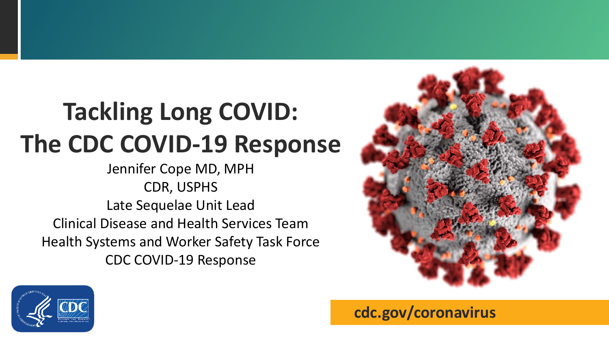# **Tackling Long COVID: The CDC COVID-19 Response**

Jennifer Cope MD, MPH CDR, USPHS Late Sequelae Unit Lead Clinical Disease and Health Services Team Health Systems and Worker Safety Task Force CDC COVID-19 Response





**cdc.gov/coronavirus**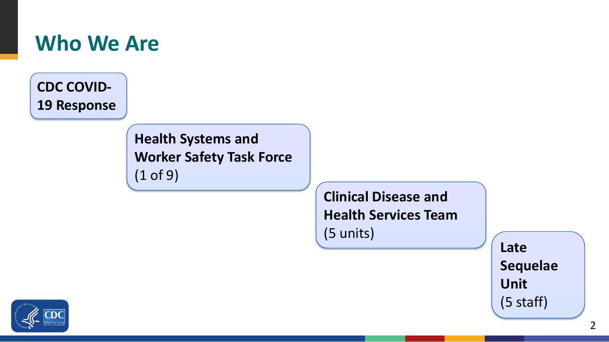

**CDC COVID-19 Response**

> **Health Systems and Worker Safety Task Force** (1 of 9)

> > **Clinical Disease and Health Services Team**  (5 units)

**Late Sequelae Unit**  (5 staff)

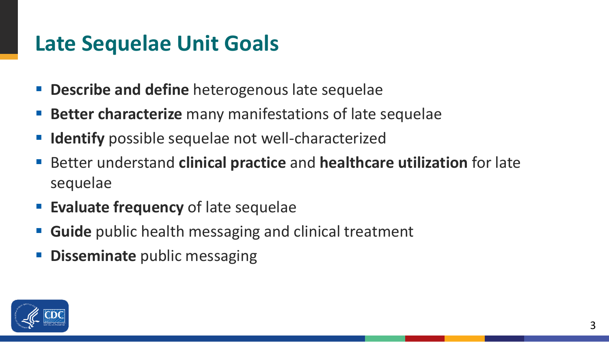#### **Late Sequelae Unit Goals**

- **Progency Bescribe and define** heterogenous late sequelae
- **Better characterize** many manifestations of late sequelae
- **If Identify** possible sequelae not well-characterized
- Better understand **clinical practice** and **healthcare utilization** for late sequelae
- **Evaluate frequency** of late sequelae
- **Guide** public health messaging and clinical treatment
- **Disseminate** public messaging

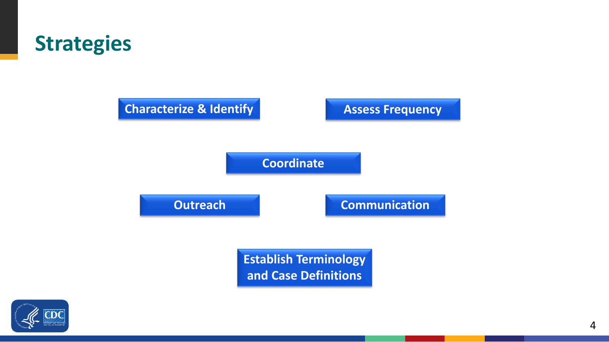



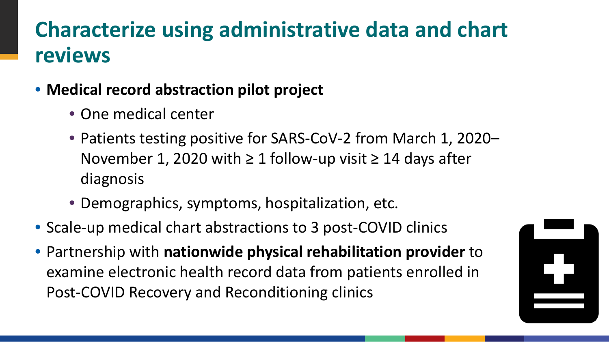### **Characterize using administrative data and chart reviews**

- **Medical record abstraction pilot project**
	- One medical center
	- Patients testing positive for SARS-CoV-2 from March 1, 2020– November 1, 2020 with  $\geq 1$  follow-up visit  $\geq 14$  days after diagnosis
	- Demographics, symptoms, hospitalization, etc.
- Scale-up medical chart abstractions to 3 post-COVID clinics
- Partnership with **nationwide physical rehabilitation provider** to examine electronic health record data from patients enrolled in Post-COVID Recovery and Reconditioning clinics

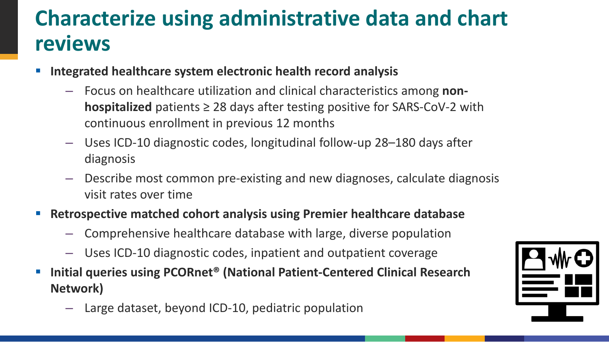### **Characterize using administrative data and chart reviews**

- **Integrated healthcare system electronic health record analysis**
	- Focus on healthcare utilization and clinical characteristics among **nonhospitalized** patients ≥ 28 days after testing positive for SARS-CoV-2 with continuous enrollment in previous 12 months
	- Uses ICD-10 diagnostic codes, longitudinal follow-up 28–180 days after diagnosis
	- Describe most common pre-existing and new diagnoses, calculate diagnosis visit rates over time
- **Retrospective matched cohort analysis using Premier healthcare database**
	- Comprehensive healthcare database with large, diverse population
	- Uses ICD-10 diagnostic codes, inpatient and outpatient coverage
- Initial queries using PCORnet<sup>®</sup> (National Patient-Centered Clinical Research **Network)**
	- Large dataset, beyond ICD-10, pediatric population

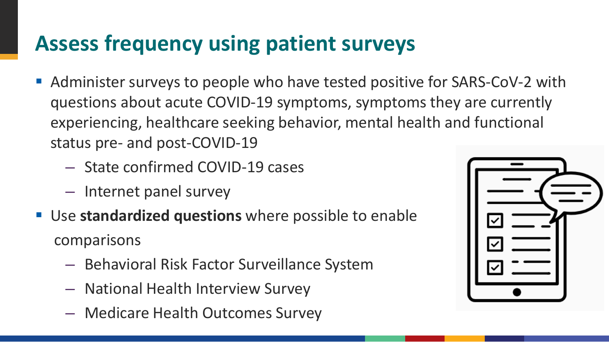### **Assess frequency using patient surveys**

- Administer surveys to people who have tested positive for SARS-CoV-2 with questions about acute COVID-19 symptoms, symptoms they are currently experiencing, healthcare seeking behavior, mental health and functional status pre- and post-COVID-19
	- State confirmed COVID-19 cases
	- Internet panel survey
- Use **standardized questions** where possible to enable comparisons
	- Behavioral Risk Factor Surveillance System
	- National Health Interview Survey
	- Medicare Health Outcomes Survey

| ☑<br>☑ |
|--------|
| ⊽      |
|        |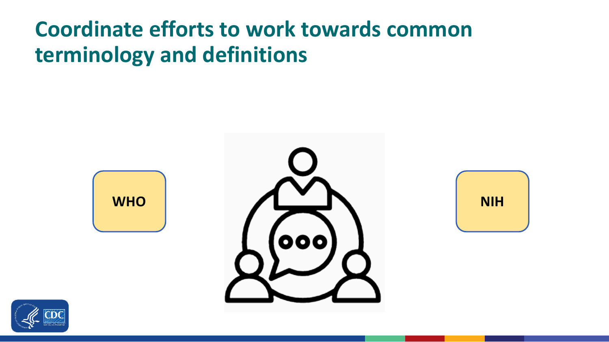#### **Coordinate efforts to work towards common terminology and definitions**







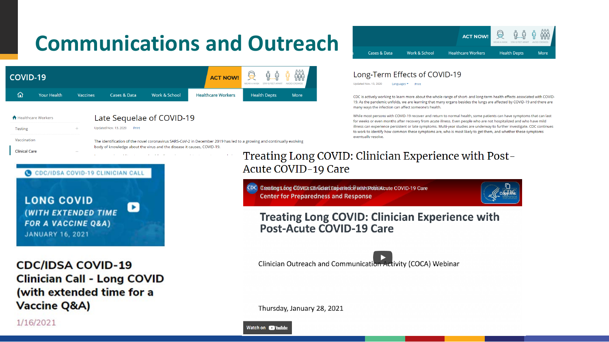## **Communications and Outreach**

**COVI** 

**f** Health

| <b>COVID-19</b>                                                                                      |                           |                 |                                    |                                                                        | <b>ACT NOW!</b>                                          | 0<br>WEAR A MAS                                                                                                       | Lon<br>Updated N                                      |  |
|------------------------------------------------------------------------------------------------------|---------------------------|-----------------|------------------------------------|------------------------------------------------------------------------|----------------------------------------------------------|-----------------------------------------------------------------------------------------------------------------------|-------------------------------------------------------|--|
| ⋒                                                                                                    | <b>Your Health</b>        | <b>Vaccines</b> | <b>Cases &amp; Data</b>            | Work & School                                                          | <b>Healthcare Workers</b>                                | <b>Health Depts</b><br><b>More</b>                                                                                    | CDC is a<br>19. As th<br>many w                       |  |
| <b>Testing</b><br>Vaccination                                                                        | <b>Healthcare Workers</b> |                 | Updated Nov. 13, 2020<br>Print     | Late Sequelae of COVID-19                                              |                                                          | The identification of the novel coronavirus SARS-CoV-2 in December 2019 has led to a growing and continually evolving | While m<br>for wee<br>illness c<br>to work<br>eventua |  |
| <b>Clinical Care</b>                                                                                 |                           |                 | C CDC/IDSA COVID-19 CLINICIAN CALL | body of knowledge about the virus and the disease it causes, COVID-19. |                                                          | Treating Long COVID: Cl<br>Acute COVID-19 Care                                                                        |                                                       |  |
| <b>LONG COVID</b><br>(WITH EXTENDED TIME<br><b>FOR A VACCINE Q&amp;A)</b><br><b>JANUARY 16, 2021</b> |                           |                 |                                    |                                                                        |                                                          | CDC Creating Long COVID: Clinician Experience with<br><b>Center for Preparedness and Respon:</b>                      |                                                       |  |
|                                                                                                      |                           |                 |                                    |                                                                        | <b>Treating Long COVID</b><br><b>Post-Acute COVID-19</b> |                                                                                                                       |                                                       |  |
|                                                                                                      | <b>CDC/IDSA COVID-19</b>  |                 | <b>Clinician Call - Long COVID</b> |                                                                        |                                                          | <b>Clinician Outreach and Communica</b>                                                                               |                                                       |  |
| (with extended time for a<br><b>Vaccine Q&amp;A)</b>                                                 |                           |                 |                                    |                                                                        | Thursday, January 28, 2021                               |                                                                                                                       |                                                       |  |
|                                                                                                      | 1/16/2021                 |                 |                                    |                                                                        |                                                          |                                                                                                                       |                                                       |  |



#### ng-Term Effects of COVID-19

Nov. 13, 2020 Languages ▼ Print

actively working to learn more about the whole range of short- and long-term health effects associated with COVIDthe pandemic unfolds, we are learning that many organs besides the lungs are affected by COVID-19 and there are vays the infection can affect someone's health.

nost persons with COVID-19 recover and return to normal health, some patients can have symptoms that can last eks or even months after recovery from acute illness. Even people who are not hospitalized and who have mild can experience persistent or late symptoms. Multi-year studies are underway to further investigate. CDC continues k to identify how common these symptoms are, who is most likely to get them, and whether these symptoms ally resolve.

# linician Experience with Post-

Post-Acute COVID-19 Care



#### : Clinician Experience with **J Care**

ation Activity (COCA) Webinar

Watch on **D** YouTub